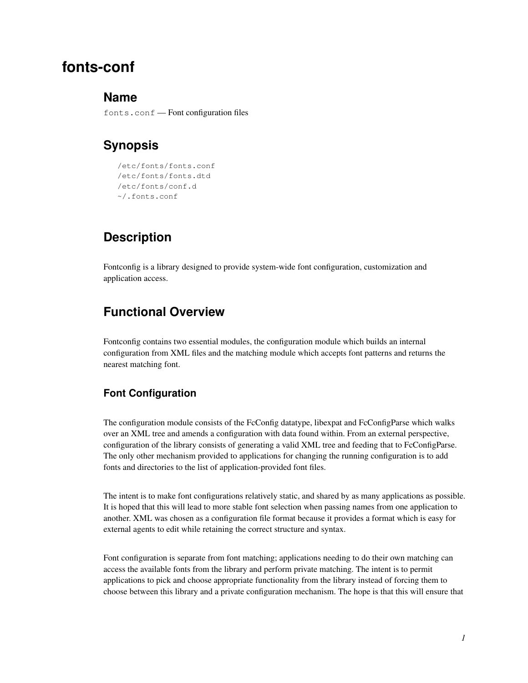# **fonts-conf**

### **Name**

fonts.conf — Font configuration files

## **Synopsis**

```
/etc/fonts/fonts.conf
/etc/fonts/fonts.dtd
/etc/fonts/conf.d
~/.fonts.conf
```
## **Description**

Fontconfig is a library designed to provide system-wide font configuration, customization and application access.

## **Functional Overview**

Fontconfig contains two essential modules, the configuration module which builds an internal configuration from XML files and the matching module which accepts font patterns and returns the nearest matching font.

### **Font Configuration**

The configuration module consists of the FcConfig datatype, libexpat and FcConfigParse which walks over an XML tree and amends a configuration with data found within. From an external perspective, configuration of the library consists of generating a valid XML tree and feeding that to FcConfigParse. The only other mechanism provided to applications for changing the running configuration is to add fonts and directories to the list of application-provided font files.

The intent is to make font configurations relatively static, and shared by as many applications as possible. It is hoped that this will lead to more stable font selection when passing names from one application to another. XML was chosen as a configuration file format because it provides a format which is easy for external agents to edit while retaining the correct structure and syntax.

Font configuration is separate from font matching; applications needing to do their own matching can access the available fonts from the library and perform private matching. The intent is to permit applications to pick and choose appropriate functionality from the library instead of forcing them to choose between this library and a private configuration mechanism. The hope is that this will ensure that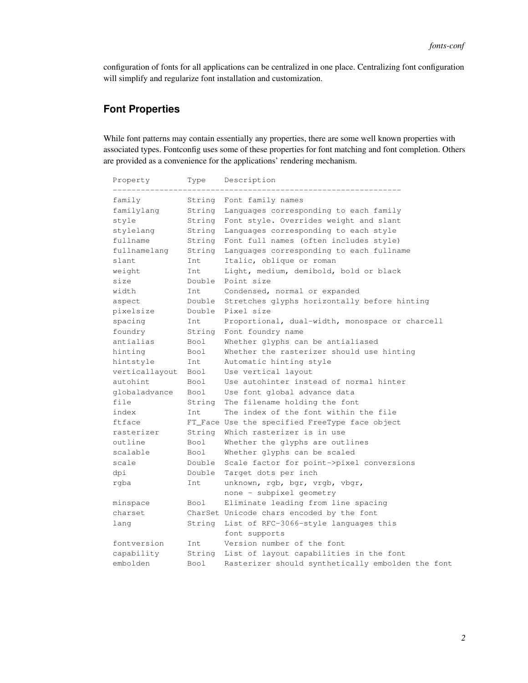configuration of fonts for all applications can be centralized in one place. Centralizing font configuration will simplify and regularize font installation and customization.

### **Font Properties**

While font patterns may contain essentially any properties, there are some well known properties with associated types. Fontconfig uses some of these properties for font matching and font completion. Others are provided as a convenience for the applications' rendering mechanism.

| Property       | Type        | Description                                       |
|----------------|-------------|---------------------------------------------------|
| family         | String      | Font family names                                 |
| familylang     | String      | Languages corresponding to each family            |
| style          | String      | Font style. Overrides weight and slant            |
| stylelang      | String      | Languages corresponding to each style             |
| fullname       | String      | Font full names (often includes style)            |
| fullnamelang   | String      | Languages corresponding to each fullname          |
| slant          | Int         | Italic, oblique or roman                          |
| weight         | Int         | Light, medium, demibold, bold or black            |
| size           | Double      | Point size                                        |
| width          | Int         | Condensed, normal or expanded                     |
| aspect         | Double      | Stretches glyphs horizontally before hinting      |
| pixelsize      | Double      | Pixel size                                        |
| spacing        | Tnt.        | Proportional, dual-width, monospace or charcell   |
| foundry        | String      | Font foundry name                                 |
| antialias      | <b>Bool</b> | Whether glyphs can be antialiased                 |
| hinting        | Bool        | Whether the rasterizer should use hinting         |
| hintstyle      | Int         | Automatic hinting style                           |
| verticallayout | Bool        | Use vertical layout                               |
| autohint       | Bool        | Use autohinter instead of normal hinter           |
| qlobaladvance  | <b>Bool</b> | Use font global advance data                      |
| file           | String      | The filename holding the font                     |
| index          | Int         | The index of the font within the file             |
| ftface         |             | FT_Face Use the specified FreeType face object    |
| rasterizer     | String      | Which rasterizer is in use                        |
| outline        | Bool        | Whether the glyphs are outlines                   |
| scalable       | Bool        | Whether glyphs can be scaled                      |
| scale          | Double      | Scale factor for point->pixel conversions         |
| dpi            | Double      | Target dots per inch                              |
| rgba           | Int         | unknown, rgb, bgr, vrgb, vbgr,                    |
|                |             | none - subpixel geometry                          |
| minspace       | Bool        | Eliminate leading from line spacing               |
| charset        |             | CharSet Unicode chars encoded by the font         |
| lang           | String      | List of RFC-3066-style languages this             |
|                |             | font supports                                     |
| fontversion    | Tnt.        | Version number of the font                        |
| capability     | String      | List of layout capabilities in the font           |
| embolden       | <b>Bool</b> | Rasterizer should synthetically embolden the font |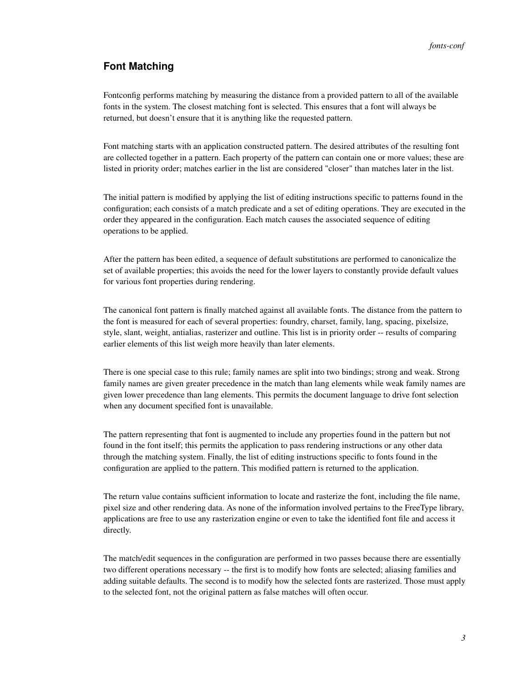### **Font Matching**

Fontconfig performs matching by measuring the distance from a provided pattern to all of the available fonts in the system. The closest matching font is selected. This ensures that a font will always be returned, but doesn't ensure that it is anything like the requested pattern.

Font matching starts with an application constructed pattern. The desired attributes of the resulting font are collected together in a pattern. Each property of the pattern can contain one or more values; these are listed in priority order; matches earlier in the list are considered "closer" than matches later in the list.

The initial pattern is modified by applying the list of editing instructions specific to patterns found in the configuration; each consists of a match predicate and a set of editing operations. They are executed in the order they appeared in the configuration. Each match causes the associated sequence of editing operations to be applied.

After the pattern has been edited, a sequence of default substitutions are performed to canonicalize the set of available properties; this avoids the need for the lower layers to constantly provide default values for various font properties during rendering.

The canonical font pattern is finally matched against all available fonts. The distance from the pattern to the font is measured for each of several properties: foundry, charset, family, lang, spacing, pixelsize, style, slant, weight, antialias, rasterizer and outline. This list is in priority order -- results of comparing earlier elements of this list weigh more heavily than later elements.

There is one special case to this rule; family names are split into two bindings; strong and weak. Strong family names are given greater precedence in the match than lang elements while weak family names are given lower precedence than lang elements. This permits the document language to drive font selection when any document specified font is unavailable.

The pattern representing that font is augmented to include any properties found in the pattern but not found in the font itself; this permits the application to pass rendering instructions or any other data through the matching system. Finally, the list of editing instructions specific to fonts found in the configuration are applied to the pattern. This modified pattern is returned to the application.

The return value contains sufficient information to locate and rasterize the font, including the file name, pixel size and other rendering data. As none of the information involved pertains to the FreeType library, applications are free to use any rasterization engine or even to take the identified font file and access it directly.

The match/edit sequences in the configuration are performed in two passes because there are essentially two different operations necessary -- the first is to modify how fonts are selected; aliasing families and adding suitable defaults. The second is to modify how the selected fonts are rasterized. Those must apply to the selected font, not the original pattern as false matches will often occur.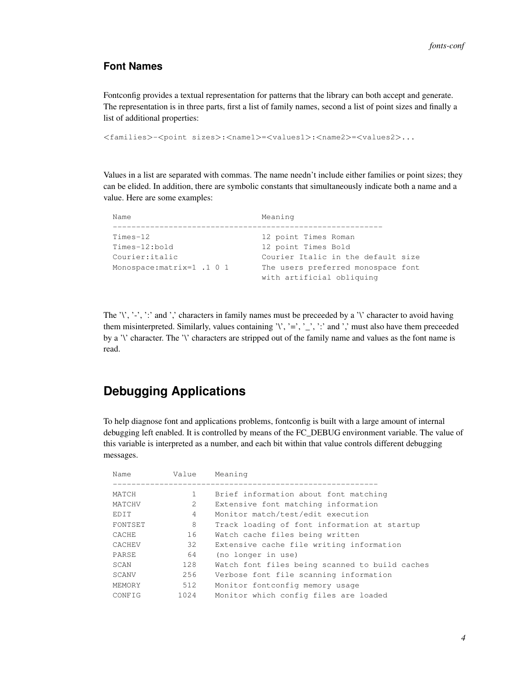### **Font Names**

Fontconfig provides a textual representation for patterns that the library can both accept and generate. The representation is in three parts, first a list of family names, second a list of point sizes and finally a list of additional properties:

```
<families>-<point sizes>:<name1>=<values1>:<name2>=<values2>...
```
Values in a list are separated with commas. The name needn't include either families or point sizes; they can be elided. In addition, there are symbolic constants that simultaneously indicate both a name and a value. Here are some examples:

| Name                       | Meaning                            |
|----------------------------|------------------------------------|
| $Times-12$                 | 12 point Times Roman               |
|                            |                                    |
| Times-12:bold              | 12 point Times Bold                |
| Courier: italic            | Courier Italic in the default size |
| Monospace: matrix=1 .1 0 1 | The users preferred monospace font |
|                            | with artificial obliquinq          |

The '\', '-', ':' and ',' characters in family names must be preceeded by a '\' character to avoid having them misinterpreted. Similarly, values containing '\', '=', '\_', ':' and ',' must also have them preceeded by a '\' character. The '\' characters are stripped out of the family name and values as the font name is read.

# **Debugging Applications**

To help diagnose font and applications problems, fontconfig is built with a large amount of internal debugging left enabled. It is controlled by means of the FC\_DEBUG environment variable. The value of this variable is interpreted as a number, and each bit within that value controls different debugging messages.

| Value          | Meaning                                        |
|----------------|------------------------------------------------|
|                | Brief information about font matching          |
| $\mathfrak{D}$ | Extensive font matching information            |
| 4              | Monitor match/test/edit execution              |
| 8              | Track loading of font information at startup   |
| 16             | Watch cache files being written                |
| 32             | Extensive cache file writing information       |
| 64             | (no longer in use)                             |
| 128            | Watch font files being scanned to build caches |
| 256            | Verbose font file scanning information         |
| 512            | Monitor fontconfig memory usage                |
| 1024           | Monitor which config files are loaded          |
|                |                                                |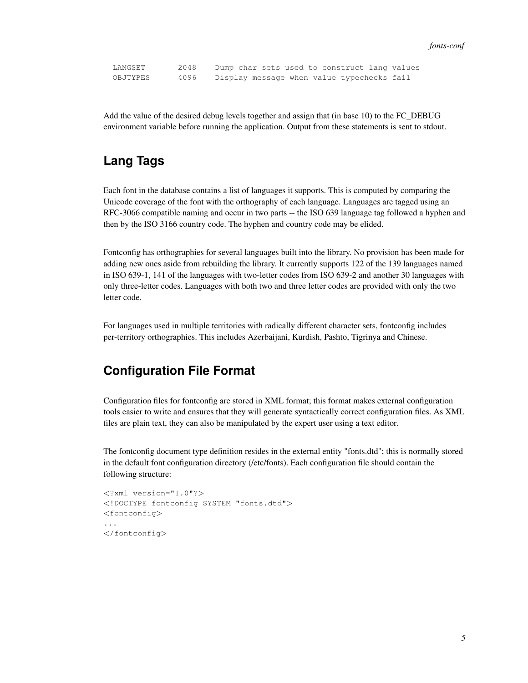LANGSET 2048 Dump char sets used to construct lang values OBJTYPES 4096 Display message when value typechecks fail

Add the value of the desired debug levels together and assign that (in base 10) to the FC\_DEBUG environment variable before running the application. Output from these statements is sent to stdout.

## **Lang Tags**

Each font in the database contains a list of languages it supports. This is computed by comparing the Unicode coverage of the font with the orthography of each language. Languages are tagged using an RFC-3066 compatible naming and occur in two parts -- the ISO 639 language tag followed a hyphen and then by the ISO 3166 country code. The hyphen and country code may be elided.

Fontconfig has orthographies for several languages built into the library. No provision has been made for adding new ones aside from rebuilding the library. It currently supports 122 of the 139 languages named in ISO 639-1, 141 of the languages with two-letter codes from ISO 639-2 and another 30 languages with only three-letter codes. Languages with both two and three letter codes are provided with only the two letter code.

For languages used in multiple territories with radically different character sets, fontconfig includes per-territory orthographies. This includes Azerbaijani, Kurdish, Pashto, Tigrinya and Chinese.

### **Configuration File Format**

Configuration files for fontconfig are stored in XML format; this format makes external configuration tools easier to write and ensures that they will generate syntactically correct configuration files. As XML files are plain text, they can also be manipulated by the expert user using a text editor.

The fontconfig document type definition resides in the external entity "fonts.dtd"; this is normally stored in the default font configuration directory (/etc/fonts). Each configuration file should contain the following structure:

```
<?xml version="1.0"?>
<!DOCTYPE fontconfig SYSTEM "fonts.dtd">
<fontconfig>
...
</fontconfig>
```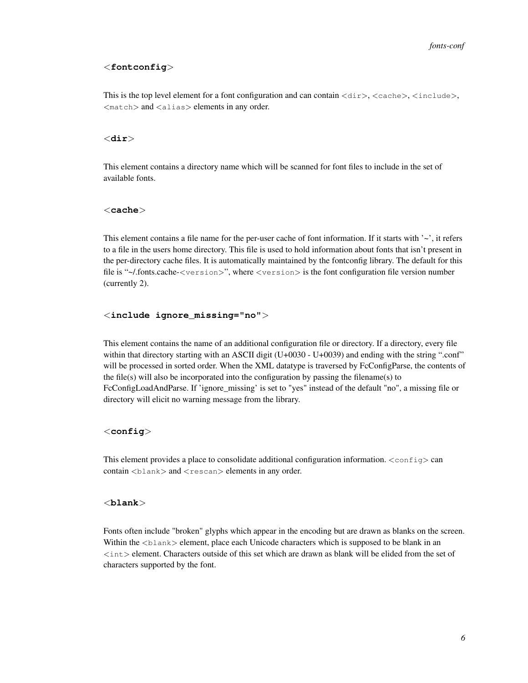#### <**fontconfig**>

This is the top level element for a font configuration and can contain  $\langle \text{dir}\rangle$ ,  $\langle \text{cache}\rangle$ ,  $\langle \text{include}\rangle$ ,  $<$ match $>$  and  $<$ alias $>$  elements in any order.

#### <**dir**>

This element contains a directory name which will be scanned for font files to include in the set of available fonts.

#### <**cache**>

This element contains a file name for the per-user cache of font information. If it starts with  $\sim$ , it refers to a file in the users home directory. This file is used to hold information about fonts that isn't present in the per-directory cache files. It is automatically maintained by the fontconfig library. The default for this file is "~/.fonts.cache-<version>", where <version> is the font configuration file version number (currently 2).

#### <**include ignore\_missing="no"**>

This element contains the name of an additional configuration file or directory. If a directory, every file within that directory starting with an ASCII digit (U+0030 - U+0039) and ending with the string ".conf" will be processed in sorted order. When the XML datatype is traversed by FcConfigParse, the contents of the file(s) will also be incorporated into the configuration by passing the filename(s) to FcConfigLoadAndParse. If 'ignore\_missing' is set to "yes" instead of the default "no", a missing file or directory will elicit no warning message from the library.

#### <**config**>

This element provides a place to consolidate additional configuration information.  $\langle \text{config} \rangle$  can  $\text{contain} < \text{blank} > \text{and} < \text{rescan} > \text{elements}$  in any order.

#### <**blank**>

Fonts often include "broken" glyphs which appear in the encoding but are drawn as blanks on the screen. Within the  $\langle$ blank $\rangle$  element, place each Unicode characters which is supposed to be blank in an <int> element. Characters outside of this set which are drawn as blank will be elided from the set of characters supported by the font.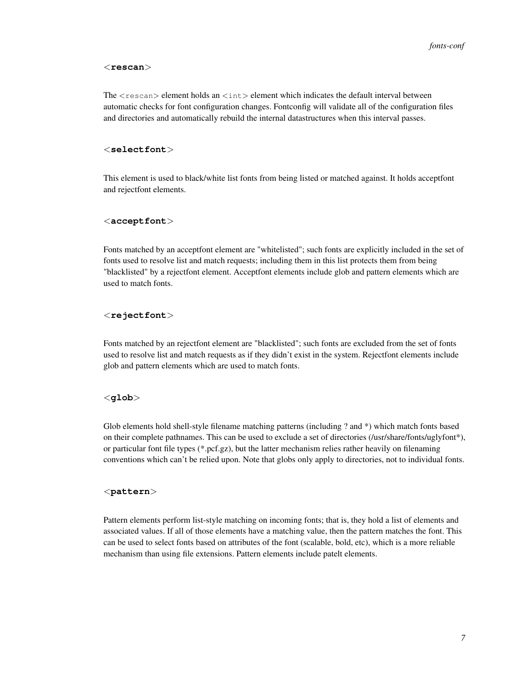#### <**rescan**>

The  $\zeta$  rescan $>$  element holds an  $\zeta$  int $>$  element which indicates the default interval between automatic checks for font configuration changes. Fontconfig will validate all of the configuration files and directories and automatically rebuild the internal datastructures when this interval passes.

#### <**selectfont**>

This element is used to black/white list fonts from being listed or matched against. It holds acceptfont and rejectfont elements.

#### <**acceptfont**>

Fonts matched by an acceptfont element are "whitelisted"; such fonts are explicitly included in the set of fonts used to resolve list and match requests; including them in this list protects them from being "blacklisted" by a rejectfont element. Acceptfont elements include glob and pattern elements which are used to match fonts.

#### <**rejectfont**>

Fonts matched by an rejectfont element are "blacklisted"; such fonts are excluded from the set of fonts used to resolve list and match requests as if they didn't exist in the system. Rejectfont elements include glob and pattern elements which are used to match fonts.

#### <**glob**>

Glob elements hold shell-style filename matching patterns (including ? and \*) which match fonts based on their complete pathnames. This can be used to exclude a set of directories (/usr/share/fonts/uglyfont\*), or particular font file types (\*.pcf.gz), but the latter mechanism relies rather heavily on filenaming conventions which can't be relied upon. Note that globs only apply to directories, not to individual fonts.

#### <**pattern**>

Pattern elements perform list-style matching on incoming fonts; that is, they hold a list of elements and associated values. If all of those elements have a matching value, then the pattern matches the font. This can be used to select fonts based on attributes of the font (scalable, bold, etc), which is a more reliable mechanism than using file extensions. Pattern elements include patelt elements.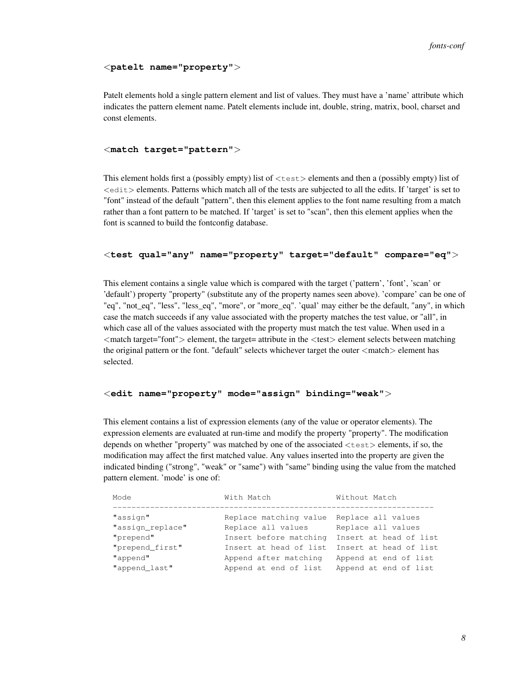#### <**patelt name="property"**>

Patelt elements hold a single pattern element and list of values. They must have a 'name' attribute which indicates the pattern element name. Patelt elements include int, double, string, matrix, bool, charset and const elements.

#### <**match target="pattern"**>

This element holds first a (possibly empty) list of <test> elements and then a (possibly empty) list of <edit> elements. Patterns which match all of the tests are subjected to all the edits. If 'target' is set to "font" instead of the default "pattern", then this element applies to the font name resulting from a match rather than a font pattern to be matched. If 'target' is set to "scan", then this element applies when the font is scanned to build the fontconfig database.

#### <**test qual="any" name="property" target="default" compare="eq"**>

This element contains a single value which is compared with the target ('pattern', 'font', 'scan' or 'default') property "property" (substitute any of the property names seen above). 'compare' can be one of "eq", "not\_eq", "less", "less\_eq", "more", or "more\_eq". 'qual' may either be the default, "any", in which case the match succeeds if any value associated with the property matches the test value, or "all", in which case all of the values associated with the property must match the test value. When used in a <match target="font"> element, the target= attribute in the <test> element selects between matching the original pattern or the font. "default" selects whichever target the outer <match> element has selected.

#### <**edit name="property" mode="assign" binding="weak"**>

This element contains a list of expression elements (any of the value or operator elements). The expression elements are evaluated at run-time and modify the property "property". The modification depends on whether "property" was matched by one of the associated  $\lt$ test $>$  elements, if so, the modification may affect the first matched value. Any values inserted into the property are given the indicated binding ("strong", "weak" or "same") with "same" binding using the value from the matched pattern element. 'mode' is one of:

| Mode             | With Match             | Without Match          |
|------------------|------------------------|------------------------|
|                  |                        |                        |
| "assign"         | Replace matching value | Replace all values     |
| "assign_replace" | Replace all values     | Replace all values     |
| "prepend"        | Insert before matching | Insert at head of list |
| "prepend_first"  | Insert at head of list | Insert at head of list |
| "append"         | Append after matching  | Append at end of list  |
| "append_last"    | Append at end of list  | Append at end of list  |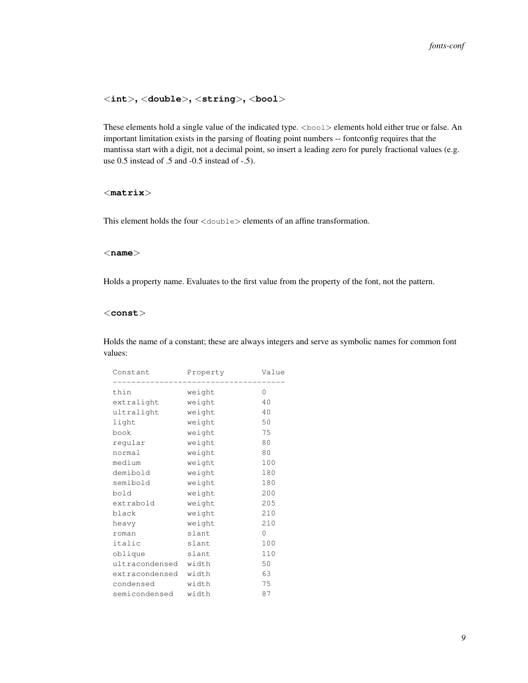#### <**int**>**,** <**double**>**,** <**string**>**,** <**bool**>

These elements hold a single value of the indicated type. <bool> elements hold either true or false. An important limitation exists in the parsing of floating point numbers -- fontconfig requires that the mantissa start with a digit, not a decimal point, so insert a leading zero for purely fractional values (e.g. use 0.5 instead of .5 and -0.5 instead of -.5).

#### <**matrix**>

This element holds the four  $\langle$  double  $\rangle$  elements of an affine transformation.

#### <**name**>

Holds a property name. Evaluates to the first value from the property of the font, not the pattern.

#### <**const**>

Holds the name of a constant; these are always integers and serve as symbolic names for common font values:

| Constant             | Property | Value    |
|----------------------|----------|----------|
| thin                 | weight   | 0        |
| extralight           | weight   | 40       |
| ultralight           | weight   | 40       |
| light                | weight   | 50       |
| book                 | weight   | 75       |
| regular              | weight   | 80       |
| normal               | weight   | 80       |
| medium               | weight   | 100      |
| demibold             | weight   | 180      |
| semibold             | weight   | 180      |
| bold                 | weight   | 200      |
| extrabold            | weight   | 205      |
| black                | weight   | 210      |
| heavy                | weight   | 210      |
| roman                | slant    | $\Omega$ |
| italic               | slant    | 100      |
| oblique              | slant    | 110      |
| ultracondensed width |          | 50       |
| extracondensed width |          | 63       |
| condensed            | width    | 75       |
| semicondensed        | width    | 87       |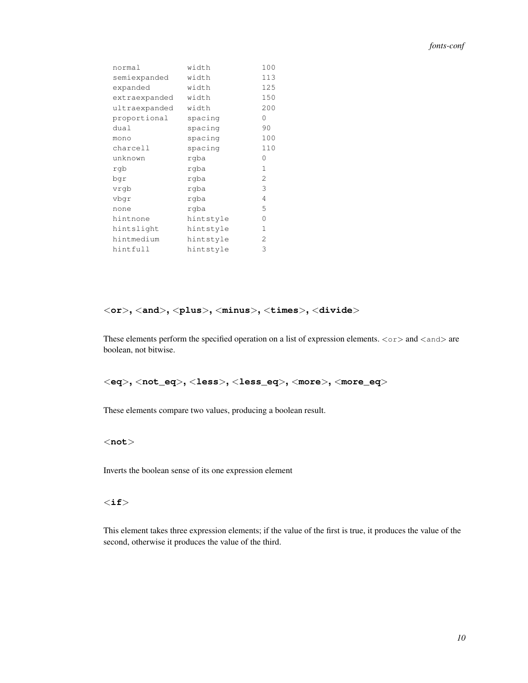| normal        | width     | 100 |
|---------------|-----------|-----|
| semiexpanded  | width     | 113 |
| expanded      | width     | 125 |
| extraexpanded | width     | 150 |
| ultraexpanded | width     | 200 |
| proportional  | spacing   | 0   |
| dual          | spacing   | 90  |
| mono          | spacing   | 100 |
| charcell      | spacing   | 110 |
| unknown       | rgba      | 0   |
| rqb           | rgba      | 1   |
| bgr           | rgba      | 2   |
| vrgb          | rgba      | 3   |
| vbqr          | rqba      | 4   |
| none          | rqba      | 5   |
| hintnone      | hintstyle | 0   |
| hintslight    | hintstyle | 1   |
| hintmedium    | hintstyle | 2   |
| hintfull      | hintstyle | 3   |
|               |           |     |

#### <**or**>**,** <**and**>**,** <**plus**>**,** <**minus**>**,** <**times**>**,** <**divide**>

These elements perform the specified operation on a list of expression elements.  $\langle \text{or} \rangle$  and  $\langle \text{and} \rangle$  are boolean, not bitwise.

<**eq**>**,** <**not\_eq**>**,** <**less**>**,** <**less\_eq**>**,** <**more**>**,** <**more\_eq**>

These elements compare two values, producing a boolean result.

#### <**not**>

Inverts the boolean sense of its one expression element

#### $\langle$ if $>$

This element takes three expression elements; if the value of the first is true, it produces the value of the second, otherwise it produces the value of the third.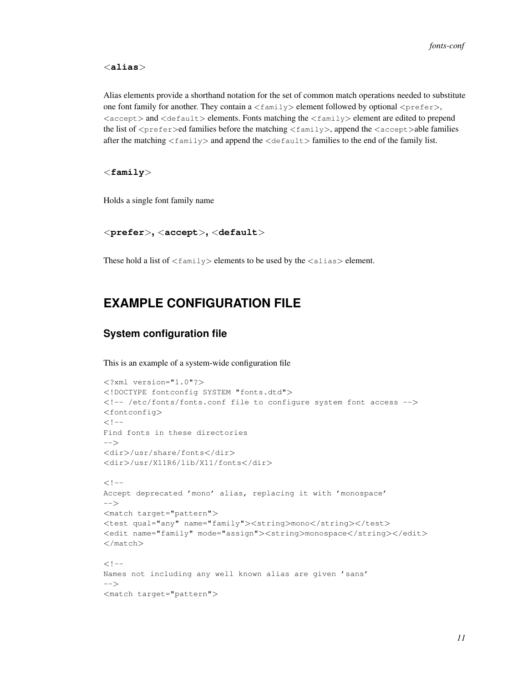<**alias**>

Alias elements provide a shorthand notation for the set of common match operations needed to substitute one font family for another. They contain a  $\leq$  family  $>$  element followed by optional  $\leq$  prefer $>$ ,  $\langle$  accept $\rangle$  and  $\langle$  default $\rangle$  elements. Fonts matching the  $\langle$  family $\rangle$  element are edited to prepend the list of  $\langle$ prefer>ed families before the matching  $\langle$ family>, append the  $\langle$ accept>able families after the matching  $\langle$  family $\rangle$  and append the  $\langle$  default $\rangle$  families to the end of the family list.

<**family**>

Holds a single font family name

#### <**prefer**>**,** <**accept**>**,** <**default**>

These hold a list of  $\langle$  family> elements to be used by the  $\langle$ alias> element.

### **EXAMPLE CONFIGURATION FILE**

#### **System configuration file**

This is an example of a system-wide configuration file

```
<?xml version="1.0"?>
<!DOCTYPE fontconfig SYSTEM "fonts.dtd">
<!-- /etc/fonts/fonts.conf file to configure system font access -->
<fontconfig>
\lt ! --Find fonts in these directories
--&<dir>/usr/share/fonts</dir>
<dir>/usr/X11R6/lib/X11/fonts</dir>
<! --Accept deprecated 'mono' alias, replacing it with 'monospace'
--&<match target="pattern">
<test qual="any" name="family"><string>mono</string></test>
<edit name="family" mode="assign"><string>monospace</string></edit>
</match>
<!--Names not including any well known alias are given 'sans'
-->
<match target="pattern">
```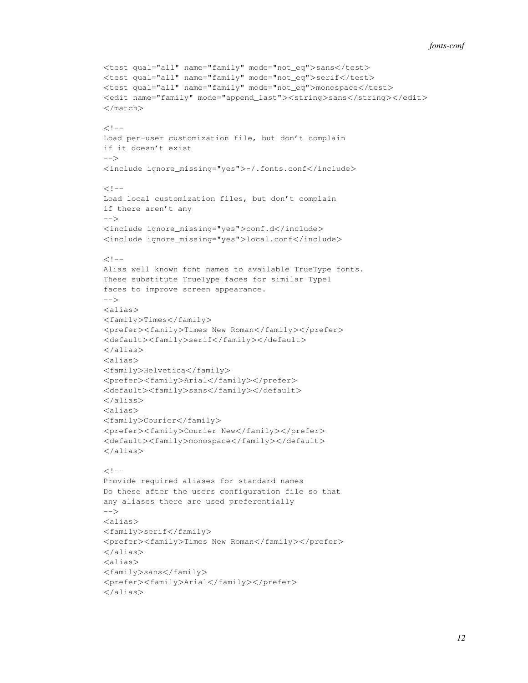#### *fonts-conf*

```
<test qual="all" name="family" mode="not_eq">sans</test>
<test qual="all" name="family" mode="not_eq">serif</test>
<test qual="all" name="family" mode="not_eq">monospace</test>
<edit name="family" mode="append_last"><string>sans</string></edit>
</match>
<! --Load per-user customization file, but don't complain
if it doesn't exist
--<include ignore_missing="yes">~/.fonts.conf</include>
<! --Load local customization files, but don't complain
if there aren't any
-->
<include ignore_missing="yes">conf.d</include>
<include ignore_missing="yes">local.conf</include>
<! --Alias well known font names to available TrueType fonts.
These substitute TrueType faces for similar Type1
faces to improve screen appearance.
--&><alias>
<family>Times</family>
<prefer><family>Times New Roman</family></prefer>
<default><family>serif</family></default>
</alias>
<alias>
<family>Helvetica</family>
<prefer><family>Arial</family></prefer>
<default><family>sans</family></default>
</alias>
<alias>
<family>Courier</family>
<prefer><family>Courier New</family></prefer>
<default><family>monospace</family></default>
</alias>
<!--Provide required aliases for standard names
Do these after the users configuration file so that
any aliases there are used preferentially
--&<alias>
<family>serif</family>
<prefer><family>Times New Roman</family></prefer>
</alias>
<alias>
<family>sans</family>
<prefer><family>Arial</family></prefer>
</alias>
```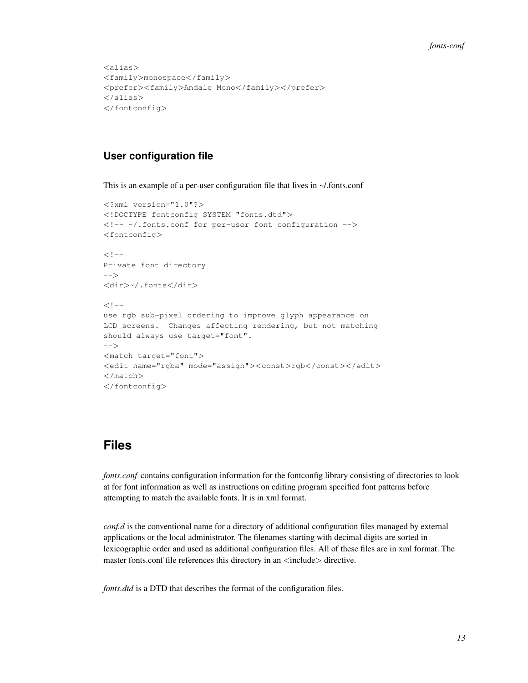```
<alias>
<family>monospace</family>
<prefer><family>Andale Mono</family></prefer>
</alias>
</fontconfig>
```
### **User configuration file**

This is an example of a per-user configuration file that lives in ~/.fonts.conf

```
<?xml version="1.0"?>
<!DOCTYPE fontconfig SYSTEM "fonts.dtd">
<!-- ~/.fonts.conf for per-user font configuration -->
<fontconfig>
<!--Private font directory
-->
<dir>~/.fonts</dir>
<! --use rgb sub-pixel ordering to improve glyph appearance on
LCD screens. Changes affecting rendering, but not matching
should always use target="font".
-->
<match target="font">
<edit name="rgba" mode="assign"><const>rgb</const></edit>
</match>
</fontconfig>
```
## **Files**

*fonts.conf* contains configuration information for the fontconfig library consisting of directories to look at for font information as well as instructions on editing program specified font patterns before attempting to match the available fonts. It is in xml format.

*conf.d* is the conventional name for a directory of additional configuration files managed by external applications or the local administrator. The filenames starting with decimal digits are sorted in lexicographic order and used as additional configuration files. All of these files are in xml format. The master fonts.conf file references this directory in an <include> directive.

*fonts.dtd* is a DTD that describes the format of the configuration files.